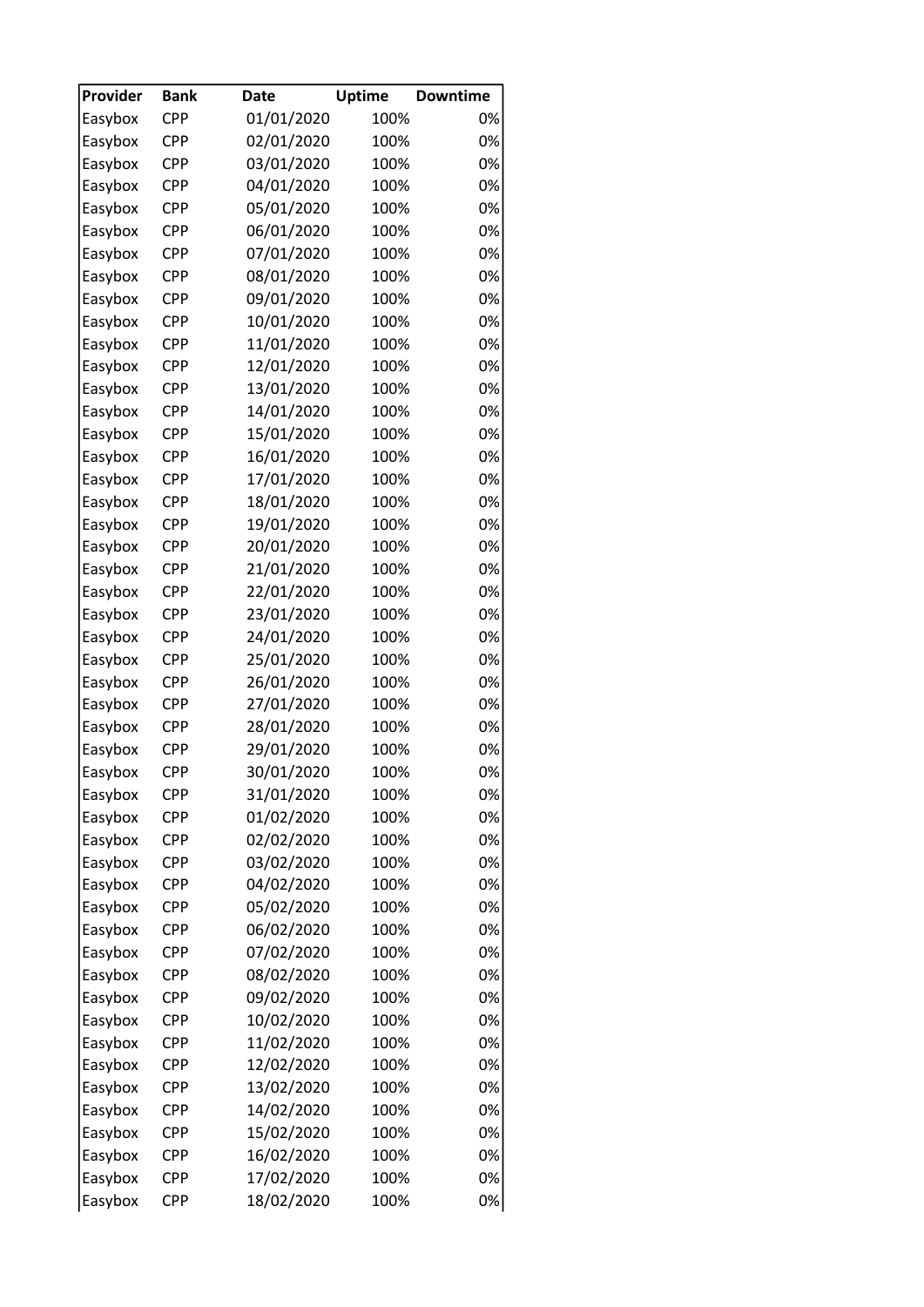| Provider | <b>Bank</b> | <b>Date</b> | <b>Uptime</b> | <b>Downtime</b> |
|----------|-------------|-------------|---------------|-----------------|
| Easybox  | <b>CPP</b>  | 01/01/2020  | 100%          | 0%              |
| Easybox  | <b>CPP</b>  | 02/01/2020  | 100%          | 0%              |
| Easybox  | <b>CPP</b>  | 03/01/2020  | 100%          | 0%              |
| Easybox  | <b>CPP</b>  | 04/01/2020  | 100%          | 0%              |
| Easybox  | <b>CPP</b>  | 05/01/2020  | 100%          | 0%              |
| Easybox  | <b>CPP</b>  | 06/01/2020  | 100%          | 0%              |
| Easybox  | <b>CPP</b>  | 07/01/2020  | 100%          | 0%              |
| Easybox  | <b>CPP</b>  | 08/01/2020  | 100%          | 0%              |
| Easybox  | <b>CPP</b>  | 09/01/2020  | 100%          | 0%              |
| Easybox  | <b>CPP</b>  | 10/01/2020  | 100%          | 0%              |
| Easybox  | <b>CPP</b>  | 11/01/2020  | 100%          | 0%              |
| Easybox  | <b>CPP</b>  | 12/01/2020  | 100%          | 0%              |
| Easybox  | <b>CPP</b>  | 13/01/2020  | 100%          | 0%              |
| Easybox  | <b>CPP</b>  | 14/01/2020  | 100%          | 0%              |
| Easybox  | <b>CPP</b>  | 15/01/2020  | 100%          | 0%              |
| Easybox  | <b>CPP</b>  | 16/01/2020  | 100%          | 0%              |
| Easybox  | <b>CPP</b>  | 17/01/2020  | 100%          | 0%              |
| Easybox  | <b>CPP</b>  | 18/01/2020  | 100%          | 0%              |
| Easybox  | <b>CPP</b>  | 19/01/2020  | 100%          | 0%              |
| Easybox  | <b>CPP</b>  | 20/01/2020  | 100%          | 0%              |
| Easybox  | <b>CPP</b>  | 21/01/2020  | 100%          | 0%              |
| Easybox  | <b>CPP</b>  | 22/01/2020  | 100%          | 0%              |
| Easybox  | <b>CPP</b>  | 23/01/2020  | 100%          | 0%              |
| Easybox  | <b>CPP</b>  | 24/01/2020  | 100%          | 0%              |
| Easybox  | <b>CPP</b>  | 25/01/2020  | 100%          | 0%              |
|          | CPP         |             |               | 0%              |
| Easybox  | <b>CPP</b>  | 26/01/2020  | 100%<br>100%  | 0%              |
| Easybox  |             | 27/01/2020  |               |                 |
| Easybox  | <b>CPP</b>  | 28/01/2020  | 100%          | 0%              |
| Easybox  | <b>CPP</b>  | 29/01/2020  | 100%          | 0%              |
| Easybox  | <b>CPP</b>  | 30/01/2020  | 100%          | 0%              |
| Easybox  | <b>CPP</b>  | 31/01/2020  | 100%          | 0%              |
| Easybox  | CPP         | 01/02/2020  | 100%          | 0%              |
| Easybox  | CPP         | 02/02/2020  | 100%          | 0%              |
| Easybox  | <b>CPP</b>  | 03/02/2020  | 100%          | 0%              |
| Easybox  | CPP         | 04/02/2020  | 100%          | 0%              |
| Easybox  | <b>CPP</b>  | 05/02/2020  | 100%          | 0%              |
| Easybox  | <b>CPP</b>  | 06/02/2020  | 100%          | 0%              |
| Easybox  | CPP         | 07/02/2020  | 100%          | 0%              |
| Easybox  | CPP         | 08/02/2020  | 100%          | 0%              |
| Easybox  | CPP         | 09/02/2020  | 100%          | 0%              |
| Easybox  | <b>CPP</b>  | 10/02/2020  | 100%          | 0%              |
| Easybox  | CPP         | 11/02/2020  | 100%          | 0%              |
| Easybox  | CPP         | 12/02/2020  | 100%          | 0%              |
| Easybox  | <b>CPP</b>  | 13/02/2020  | 100%          | 0%              |
| Easybox  | CPP         | 14/02/2020  | 100%          | 0%              |
| Easybox  | CPP         | 15/02/2020  | 100%          | 0%              |
| Easybox  | <b>CPP</b>  | 16/02/2020  | 100%          | 0%              |
| Easybox  | CPP         | 17/02/2020  | 100%          | 0%              |
| Easybox  | <b>CPP</b>  | 18/02/2020  | 100%          | 0%              |